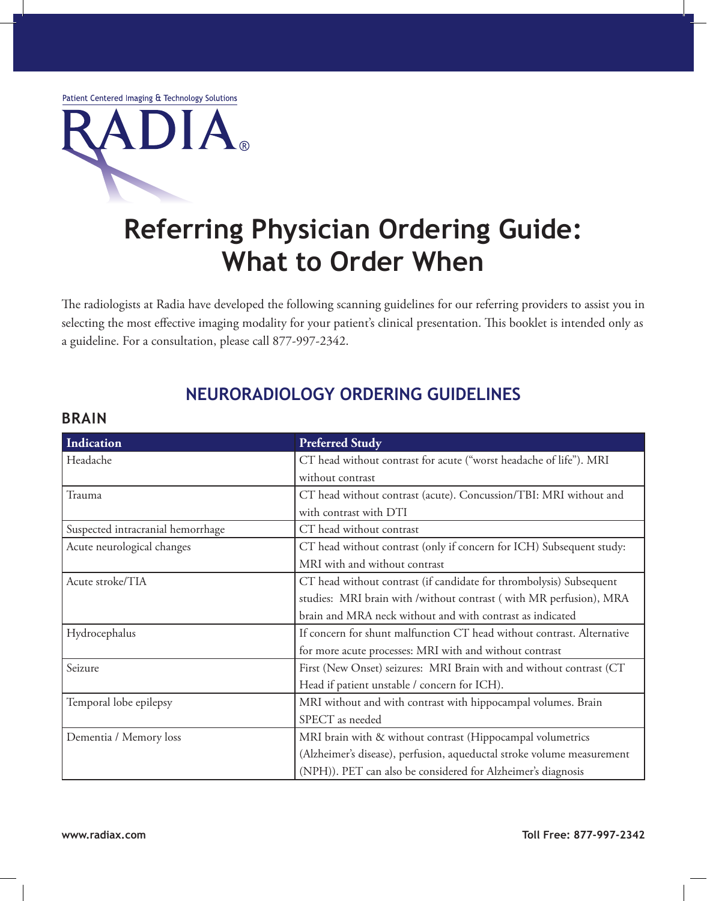Patient Centered Imaging & Technology Solutions



# **Referring Physician Ordering Guide: What to Order When**

The radiologists at Radia have developed the following scanning guidelines for our referring providers to assist you in selecting the most effective imaging modality for your patient's clinical presentation. This booklet is intended only as a guideline. For a consultation, please call 877-997-2342.

# **Neuroradiology Ordering Guidelines**

#### **Brain**

| Indication                        | <b>Preferred Study</b>                                                 |
|-----------------------------------|------------------------------------------------------------------------|
| Headache                          | CT head without contrast for acute ("worst headache of life"). MRI     |
|                                   | without contrast                                                       |
| Trauma                            | CT head without contrast (acute). Concussion/TBI: MRI without and      |
|                                   | with contrast with DTI                                                 |
| Suspected intracranial hemorrhage | CT head without contrast                                               |
| Acute neurological changes        | CT head without contrast (only if concern for ICH) Subsequent study:   |
|                                   | MRI with and without contrast                                          |
| Acute stroke/TIA                  | CT head without contrast (if candidate for thrombolysis) Subsequent    |
|                                   | studies: MRI brain with /without contrast (with MR perfusion), MRA     |
|                                   | brain and MRA neck without and with contrast as indicated              |
| Hydrocephalus                     | If concern for shunt malfunction CT head without contrast. Alternative |
|                                   | for more acute processes: MRI with and without contrast                |
| Seizure                           | First (New Onset) seizures: MRI Brain with and without contrast (CT    |
|                                   | Head if patient unstable / concern for ICH).                           |
| Temporal lobe epilepsy            | MRI without and with contrast with hippocampal volumes. Brain          |
|                                   | SPECT as needed                                                        |
| Dementia / Memory loss            | MRI brain with & without contrast (Hippocampal volumetrics             |
|                                   | (Alzheimer's disease), perfusion, aqueductal stroke volume measurement |
|                                   | (NPH)). PET can also be considered for Alzheimer's diagnosis           |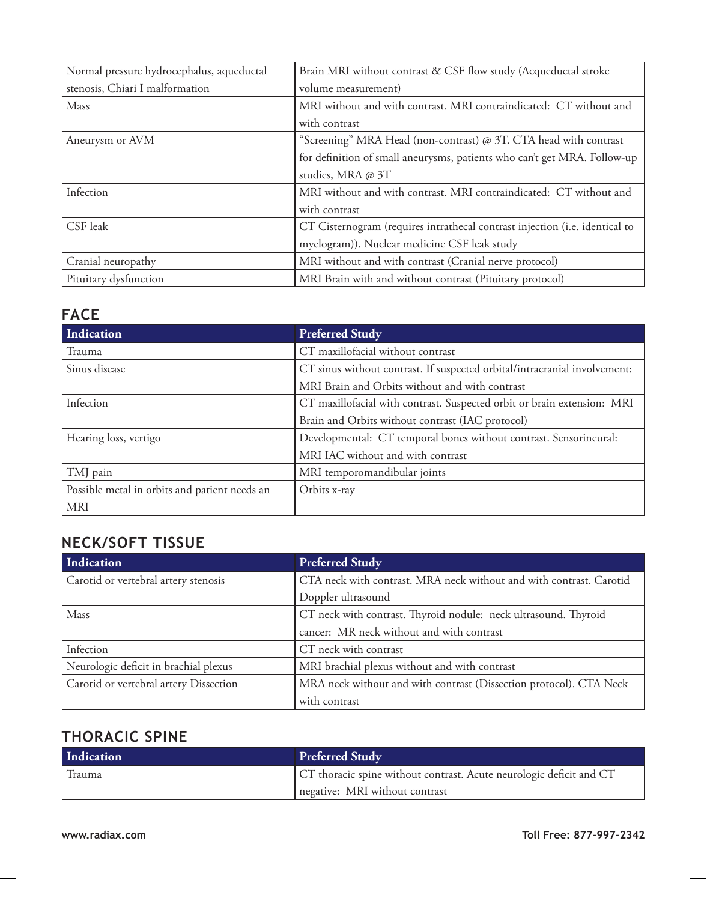| Normal pressure hydrocephalus, aqueductal | Brain MRI without contrast & CSF flow study (Acqueductal stroke             |
|-------------------------------------------|-----------------------------------------------------------------------------|
| stenosis, Chiari I malformation           | volume measurement)                                                         |
| Mass                                      | MRI without and with contrast. MRI contraindicated: CT without and          |
|                                           | with contrast                                                               |
| Aneurysm or AVM                           | "Screening" MRA Head (non-contrast) @ 3T. CTA head with contrast            |
|                                           | for definition of small aneurysms, patients who can't get MRA. Follow-up    |
|                                           | studies, MRA @ 3T                                                           |
| Infection                                 | MRI without and with contrast. MRI contraindicated: CT without and          |
|                                           | with contrast                                                               |
| CSF leak                                  | CT Cisternogram (requires intrathecal contrast injection (i.e. identical to |
|                                           | myelogram)). Nuclear medicine CSF leak study                                |
| Cranial neuropathy                        | MRI without and with contrast (Cranial nerve protocol)                      |
| Pituitary dysfunction                     | MRI Brain with and without contrast (Pituitary protocol)                    |

#### **Face**

| Indication                                    | <b>Preferred Study</b>                                                    |
|-----------------------------------------------|---------------------------------------------------------------------------|
| Trauma                                        | CT maxillofacial without contrast                                         |
| Sinus disease                                 | CT sinus without contrast. If suspected orbital/intracranial involvement: |
|                                               | MRI Brain and Orbits without and with contrast                            |
| Infection                                     | CT maxillofacial with contrast. Suspected orbit or brain extension: MRI   |
|                                               | Brain and Orbits without contrast (IAC protocol)                          |
| Hearing loss, vertigo                         | Developmental: CT temporal bones without contrast. Sensorineural:         |
|                                               | MRI IAC without and with contrast                                         |
| TMJ pain                                      | MRI temporomandibular joints                                              |
| Possible metal in orbits and patient needs an | Orbits x-ray                                                              |
| <b>MRI</b>                                    |                                                                           |

## **Neck/Soft Tissue**

| Indication                             | <b>Preferred Study</b>                                              |
|----------------------------------------|---------------------------------------------------------------------|
| Carotid or vertebral artery stenosis   | CTA neck with contrast. MRA neck without and with contrast. Carotid |
|                                        | Doppler ultrasound                                                  |
| Mass                                   | CT neck with contrast. Thyroid nodule: neck ultrasound. Thyroid     |
|                                        | cancer: MR neck without and with contrast                           |
| Infection                              | CT neck with contrast                                               |
| Neurologic deficit in brachial plexus  | MRI brachial plexus without and with contrast                       |
| Carotid or vertebral artery Dissection | MRA neck without and with contrast (Dissection protocol). CTA Neck  |
|                                        | with contrast                                                       |

# **Thoracic Spine**

| Indication | <b>Preferred Study</b>                                              |
|------------|---------------------------------------------------------------------|
| Trauma     | CT thoracic spine without contrast. Acute neurologic deficit and CT |
|            | negative: MRI without contrast                                      |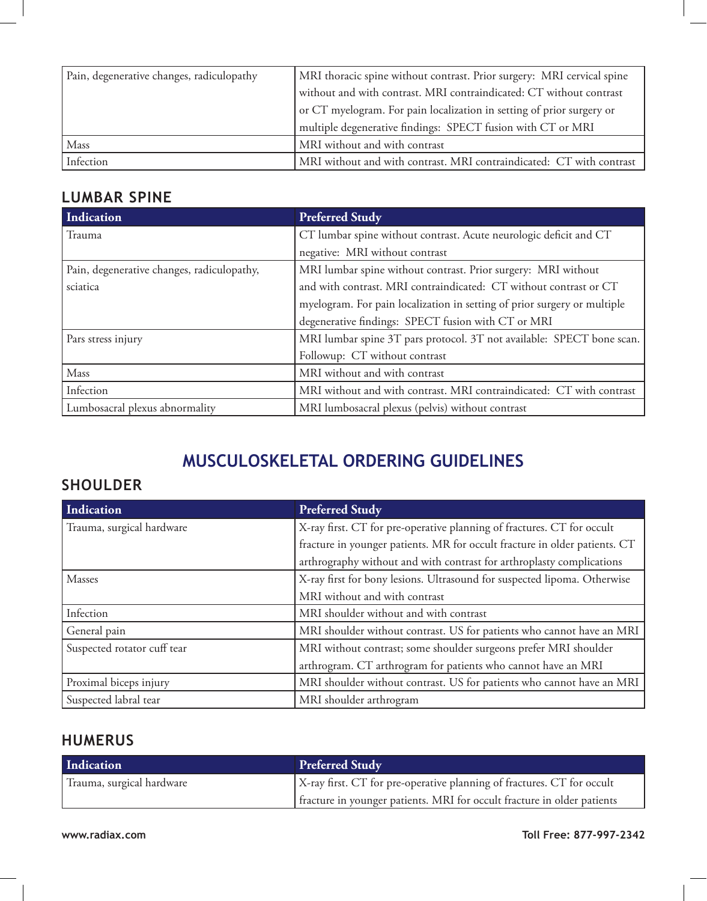| Pain, degenerative changes, radiculopathy | MRI thoracic spine without contrast. Prior surgery: MRI cervical spine |
|-------------------------------------------|------------------------------------------------------------------------|
|                                           | without and with contrast. MRI contraindicated: CT without contrast    |
|                                           | or CT myelogram. For pain localization in setting of prior surgery or  |
|                                           | multiple degenerative findings: SPECT fusion with CT or MRI            |
| Mass                                      | MRI without and with contrast                                          |
| Infection                                 | MRI without and with contrast. MRI contraindicated: CT with contrast   |

## **Lumbar Spine**

| Indication                                 | <b>Preferred Study</b>                                                   |
|--------------------------------------------|--------------------------------------------------------------------------|
| l Trauma                                   | CT lumbar spine without contrast. Acute neurologic deficit and CT        |
|                                            | negative: MRI without contrast                                           |
| Pain, degenerative changes, radiculopathy, | MRI lumbar spine without contrast. Prior surgery: MRI without            |
| sciatica                                   | and with contrast. MRI contraindicated: CT without contrast or CT        |
|                                            | myelogram. For pain localization in setting of prior surgery or multiple |
|                                            | degenerative findings: SPECT fusion with CT or MRI                       |
| Pars stress injury                         | MRI lumbar spine 3T pars protocol. 3T not available: SPECT bone scan.    |
|                                            | Followup: CT without contrast                                            |
| Mass                                       | MRI without and with contrast                                            |
| Infection                                  | MRI without and with contrast. MRI contraindicated: CT with contrast     |
| Lumbosacral plexus abnormality             | MRI lumbosacral plexus (pelvis) without contrast                         |

# **Musculoskeletal Ordering Guidelines**

### **SHOULDER**

| Indication                  | <b>Preferred Study</b>                                                     |
|-----------------------------|----------------------------------------------------------------------------|
| Trauma, surgical hardware   | X-ray first. CT for pre-operative planning of fractures. CT for occult     |
|                             | fracture in younger patients. MR for occult fracture in older patients. CT |
|                             | arthrography without and with contrast for arthroplasty complications      |
| Masses                      | X-ray first for bony lesions. Ultrasound for suspected lipoma. Otherwise   |
|                             | MRI without and with contrast                                              |
| Infection                   | MRI shoulder without and with contrast                                     |
| General pain                | MRI shoulder without contrast. US for patients who cannot have an MRI      |
| Suspected rotator cuff tear | MRI without contrast; some shoulder surgeons prefer MRI shoulder           |
|                             | arthrogram. CT arthrogram for patients who cannot have an MRI              |
| Proximal biceps injury      | MRI shoulder without contrast. US for patients who cannot have an MRI      |
| Suspected labral tear       | MRI shoulder arthrogram                                                    |

### **HUMERUS**

| Indication                | <b>Preferred Study</b>                                                  |
|---------------------------|-------------------------------------------------------------------------|
| Trauma, surgical hardware | X-ray first. CT for pre-operative planning of fractures. CT for occult  |
|                           | fracture in younger patients. MRI for occult fracture in older patients |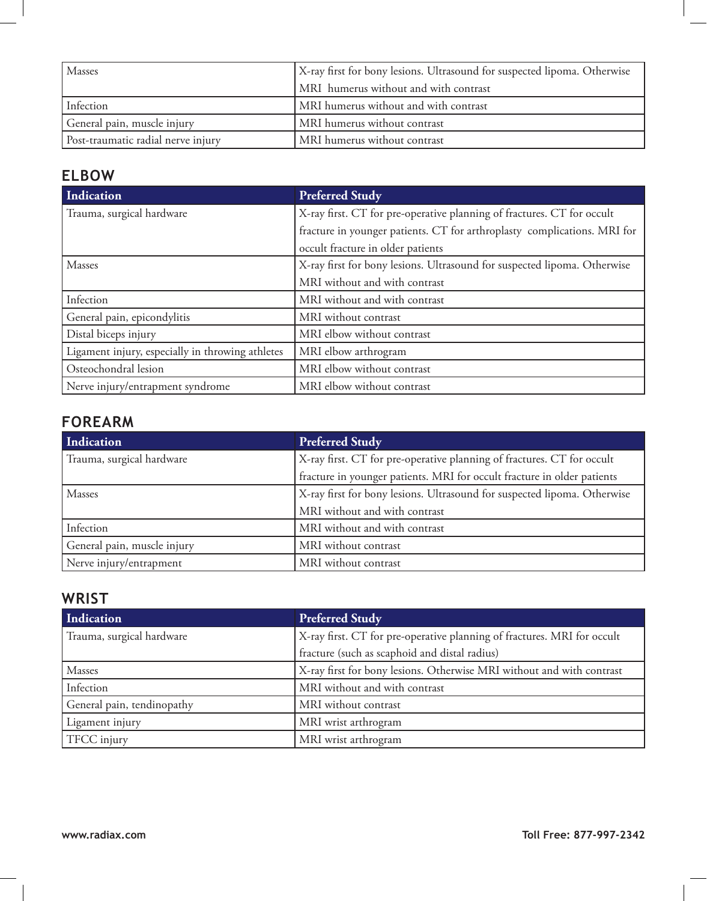| <b>Masses</b>                      | X-ray first for bony lesions. Ultrasound for suspected lipoma. Otherwise |
|------------------------------------|--------------------------------------------------------------------------|
|                                    | MRI humerus without and with contrast                                    |
| Infection                          | MRI humerus without and with contrast                                    |
| General pain, muscle injury        | MRI humerus without contrast                                             |
| Post-traumatic radial nerve injury | MRI humerus without contrast                                             |

# **ELBOW**

| Indication                                       | <b>Preferred Study</b>                                                   |
|--------------------------------------------------|--------------------------------------------------------------------------|
| Trauma, surgical hardware                        | X-ray first. CT for pre-operative planning of fractures. CT for occult   |
|                                                  | fracture in younger patients. CT for arthroplasty complications. MRI for |
|                                                  | occult fracture in older patients                                        |
| <b>Masses</b>                                    | X-ray first for bony lesions. Ultrasound for suspected lipoma. Otherwise |
|                                                  | MRI without and with contrast                                            |
| Infection                                        | MRI without and with contrast                                            |
| General pain, epicondylitis                      | MRI without contrast                                                     |
| Distal biceps injury                             | MRI elbow without contrast                                               |
| Ligament injury, especially in throwing athletes | MRI elbow arthrogram                                                     |
| Osteochondral lesion                             | MRI elbow without contrast                                               |
| Nerve injury/entrapment syndrome                 | MRI elbow without contrast                                               |

# **FOREARM**

| Indication                  | <b>Preferred Study</b>                                                   |
|-----------------------------|--------------------------------------------------------------------------|
| Trauma, surgical hardware   | X-ray first. CT for pre-operative planning of fractures. CT for occult   |
|                             | fracture in younger patients. MRI for occult fracture in older patients  |
| Masses                      | X-ray first for bony lesions. Ultrasound for suspected lipoma. Otherwise |
|                             | MRI without and with contrast                                            |
| Infection                   | MRI without and with contrast                                            |
| General pain, muscle injury | MRI without contrast                                                     |
| Nerve injury/entrapment     | MRI without contrast                                                     |

#### **WRIST**

| Indication                 | <b>Preferred Study</b>                                                  |
|----------------------------|-------------------------------------------------------------------------|
| Trauma, surgical hardware  | X-ray first. CT for pre-operative planning of fractures. MRI for occult |
|                            | fracture (such as scaphoid and distal radius)                           |
| Masses                     | X-ray first for bony lesions. Otherwise MRI without and with contrast   |
| Infection                  | MRI without and with contrast                                           |
| General pain, tendinopathy | MRI without contrast                                                    |
| Ligament injury            | MRI wrist arthrogram                                                    |
| TFCC injury                | MRI wrist arthrogram                                                    |

 $\blacksquare$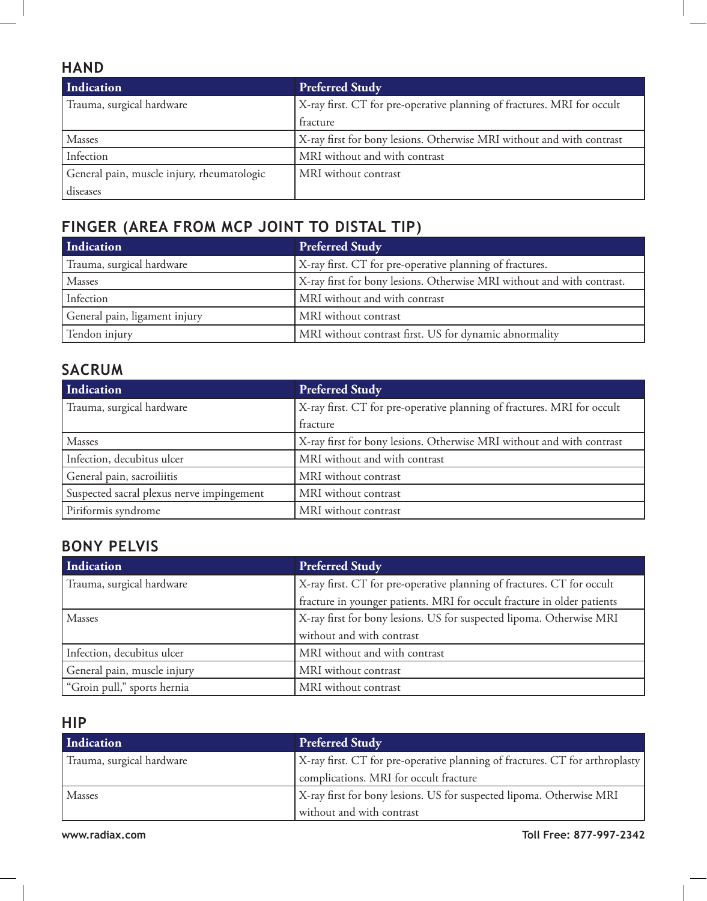#### **HAND**

| Indication                                 | <b>Preferred Study</b>                                                  |
|--------------------------------------------|-------------------------------------------------------------------------|
| Trauma, surgical hardware                  | X-ray first. CT for pre-operative planning of fractures. MRI for occult |
|                                            | fracture                                                                |
| Masses                                     | X-ray first for bony lesions. Otherwise MRI without and with contrast   |
| Infection                                  | MRI without and with contrast                                           |
| General pain, muscle injury, rheumatologic | MRI without contrast                                                    |
| diseases                                   |                                                                         |

# **FINGER (Area from MCP joint to distal tip)**

| Indication                    | <b>Preferred Study</b>                                                 |
|-------------------------------|------------------------------------------------------------------------|
| Trauma, surgical hardware     | X-ray first. CT for pre-operative planning of fractures.               |
| Masses                        | X-ray first for bony lesions. Otherwise MRI without and with contrast. |
| Infection                     | MRI without and with contrast                                          |
| General pain, ligament injury | MRI without contrast                                                   |
| Tendon injury                 | MRI without contrast first. US for dynamic abnormality                 |

### **SACRUM**

| Indication                                | <b>Preferred Study</b>                                                  |
|-------------------------------------------|-------------------------------------------------------------------------|
| Trauma, surgical hardware                 | X-ray first. CT for pre-operative planning of fractures. MRI for occult |
|                                           | fracture                                                                |
| Masses                                    | X-ray first for bony lesions. Otherwise MRI without and with contrast   |
| Infection, decubitus ulcer                | MRI without and with contrast                                           |
| General pain, sacroiliitis                | MRI without contrast                                                    |
| Suspected sacral plexus nerve impingement | MRI without contrast                                                    |
| Piriformis syndrome                       | MRI without contrast                                                    |

#### **BONY PELVIS**

| Indication                  | <b>Preferred Study</b>                                                  |
|-----------------------------|-------------------------------------------------------------------------|
| Trauma, surgical hardware   | X-ray first. CT for pre-operative planning of fractures. CT for occult  |
|                             | fracture in younger patients. MRI for occult fracture in older patients |
| Masses                      | X-ray first for bony lesions. US for suspected lipoma. Otherwise MRI    |
|                             | without and with contrast                                               |
| Infection, decubitus ulcer  | MRI without and with contrast                                           |
| General pain, muscle injury | MRI without contrast                                                    |
| "Groin pull," sports hernia | MRI without contrast                                                    |

#### **HIP**

| Indication                | <b>Preferred Study</b>                                                       |
|---------------------------|------------------------------------------------------------------------------|
| Trauma, surgical hardware | X-ray first. CT for pre-operative planning of fractures. CT for arthroplasty |
|                           | complications. MRI for occult fracture                                       |
| Masses                    | X-ray first for bony lesions. US for suspected lipoma. Otherwise MRI         |
|                           | without and with contrast                                                    |

**www.radiax.com Toll Free: 877-997-2342**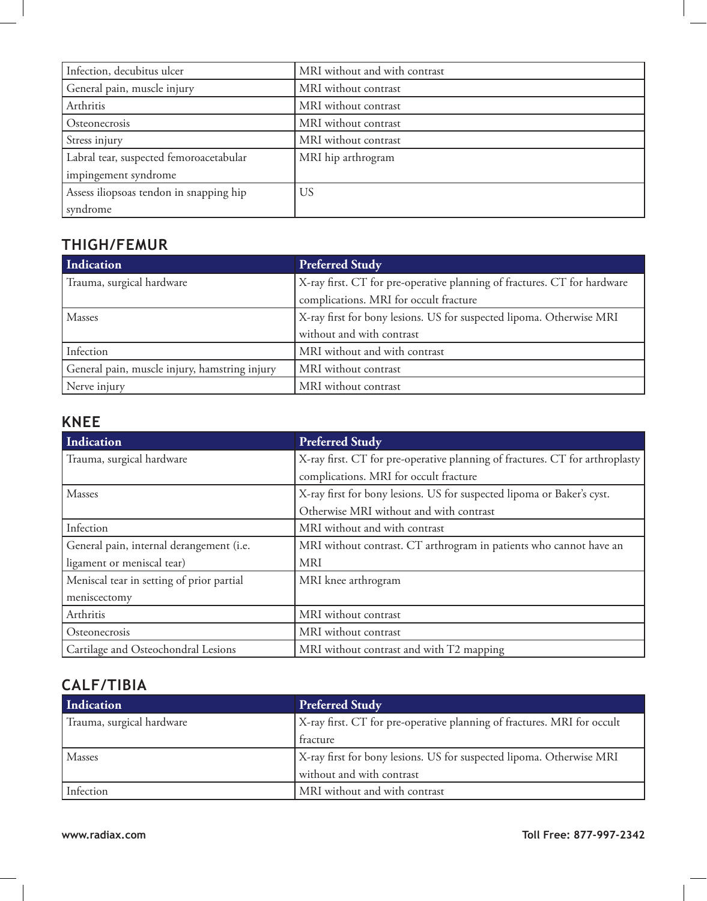| Infection, decubitus ulcer              | MRI without and with contrast |
|-----------------------------------------|-------------------------------|
| General pain, muscle injury             | MRI without contrast          |
| Arthritis                               | MRI without contrast          |
| Osteonecrosis                           | MRI without contrast          |
| Stress injury                           | MRI without contrast          |
| Labral tear, suspected femoroacetabular | MRI hip arthrogram            |
| impingement syndrome                    |                               |
| Assess iliopsoas tendon in snapping hip | US                            |
| syndrome                                |                               |

## **THIGH/FEMUR**

| Indication                                    | <b>Preferred Study</b>                                                   |
|-----------------------------------------------|--------------------------------------------------------------------------|
| Trauma, surgical hardware                     | X-ray first. CT for pre-operative planning of fractures. CT for hardware |
|                                               | complications. MRI for occult fracture                                   |
| Masses                                        | X-ray first for bony lesions. US for suspected lipoma. Otherwise MRI     |
|                                               | without and with contrast                                                |
| Infection                                     | MRI without and with contrast                                            |
| General pain, muscle injury, hamstring injury | MRI without contrast                                                     |
| Nerve injury                                  | MRI without contrast                                                     |

### **KNEE**

| Indication                                | <b>Preferred Study</b>                                                       |
|-------------------------------------------|------------------------------------------------------------------------------|
| Trauma, surgical hardware                 | X-ray first. CT for pre-operative planning of fractures. CT for arthroplasty |
|                                           | complications. MRI for occult fracture                                       |
| Masses                                    | X-ray first for bony lesions. US for suspected lipoma or Baker's cyst.       |
|                                           | Otherwise MRI without and with contrast                                      |
| Infection                                 | MRI without and with contrast                                                |
| General pain, internal derangement (i.e.  | MRI without contrast. CT arthrogram in patients who cannot have an           |
| ligament or meniscal tear)                | <b>MRI</b>                                                                   |
| Meniscal tear in setting of prior partial | MRI knee arthrogram                                                          |
| meniscectomy                              |                                                                              |
| Arthritis                                 | MRI without contrast                                                         |
| Osteonecrosis                             | MRI without contrast                                                         |
| Cartilage and Osteochondral Lesions       | MRI without contrast and with T2 mapping                                     |

### **CALF/TIBIA**

| Indication                | <b>Preferred Study</b>                                                  |
|---------------------------|-------------------------------------------------------------------------|
| Trauma, surgical hardware | X-ray first. CT for pre-operative planning of fractures. MRI for occult |
|                           | fracture                                                                |
| <b>Masses</b>             | X-ray first for bony lesions. US for suspected lipoma. Otherwise MRI    |
|                           | without and with contrast                                               |
| Infection                 | MRI without and with contrast                                           |

 $\Box$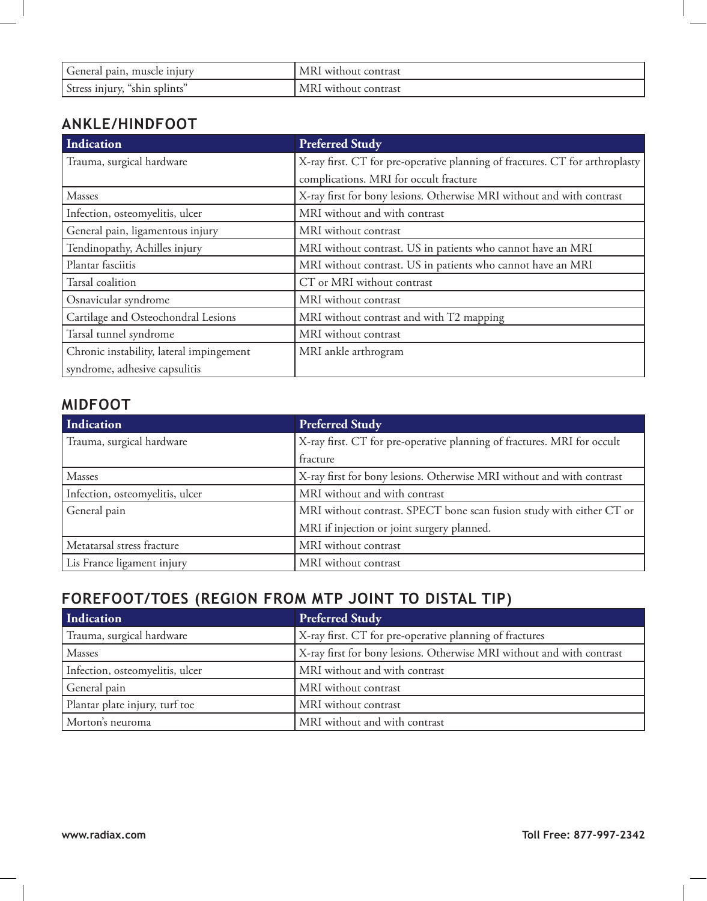| General pain, muscle injury      | MRI without contrast |
|----------------------------------|----------------------|
| Stress injury,<br>"shin splints" | MRI without contrast |

### **ANKLE/HINDFOOT**

| Indication                               | <b>Preferred Study</b>                                                       |
|------------------------------------------|------------------------------------------------------------------------------|
| Trauma, surgical hardware                | X-ray first. CT for pre-operative planning of fractures. CT for arthroplasty |
|                                          | complications. MRI for occult fracture                                       |
| Masses                                   | X-ray first for bony lesions. Otherwise MRI without and with contrast        |
| Infection, osteomyelitis, ulcer          | MRI without and with contrast                                                |
| General pain, ligamentous injury         | MRI without contrast                                                         |
| Tendinopathy, Achilles injury            | MRI without contrast. US in patients who cannot have an MRI                  |
| Plantar fasciitis                        | MRI without contrast. US in patients who cannot have an MRI                  |
| Tarsal coalition                         | CT or MRI without contrast                                                   |
| Osnavicular syndrome                     | MRI without contrast                                                         |
| Cartilage and Osteochondral Lesions      | MRI without contrast and with T2 mapping                                     |
| Tarsal tunnel syndrome                   | MRI without contrast                                                         |
| Chronic instability, lateral impingement | MRI ankle arthrogram                                                         |
| syndrome, adhesive capsulitis            |                                                                              |

### **MIDFOOT**

| Indication                      | <b>Preferred Study</b>                                                  |
|---------------------------------|-------------------------------------------------------------------------|
| Trauma, surgical hardware       | X-ray first. CT for pre-operative planning of fractures. MRI for occult |
|                                 | fracture                                                                |
| Masses                          | X-ray first for bony lesions. Otherwise MRI without and with contrast   |
| Infection, osteomyelitis, ulcer | MRI without and with contrast                                           |
| General pain                    | MRI without contrast. SPECT bone scan fusion study with either CT or    |
|                                 | MRI if injection or joint surgery planned.                              |
| Metatarsal stress fracture      | MRI without contrast                                                    |
| Lis France ligament injury      | MRI without contrast                                                    |

# **FOREFOOT/TOES (Region from MTP joint to distal tip)**

| Indication                      | <b>Preferred Study</b>                                                |
|---------------------------------|-----------------------------------------------------------------------|
| Trauma, surgical hardware       | X-ray first. CT for pre-operative planning of fractures               |
| Masses                          | X-ray first for bony lesions. Otherwise MRI without and with contrast |
| Infection, osteomyelitis, ulcer | MRI without and with contrast                                         |
| General pain                    | MRI without contrast                                                  |
| Plantar plate injury, turf toe  | MRI without contrast                                                  |
| Morton's neuroma                | MRI without and with contrast                                         |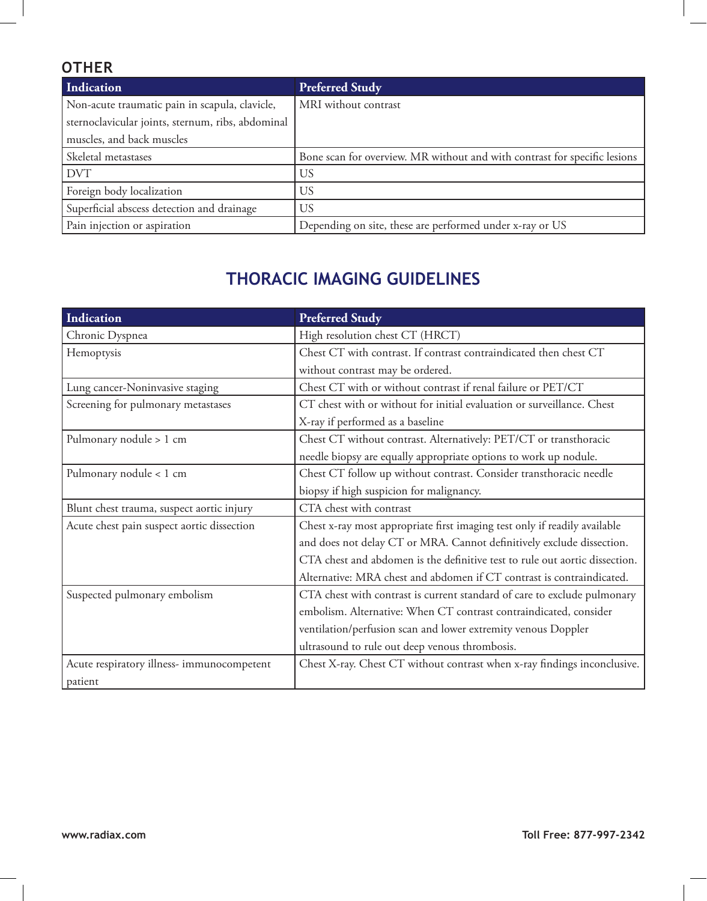# **OTHER**

| Indication                                        | <b>Preferred Study</b>                                                    |
|---------------------------------------------------|---------------------------------------------------------------------------|
| Non-acute traumatic pain in scapula, clavicle,    | MRI without contrast                                                      |
| sternoclavicular joints, sternum, ribs, abdominal |                                                                           |
| muscles, and back muscles                         |                                                                           |
| Skeletal metastases                               | Bone scan for overview. MR without and with contrast for specific lesions |
| <b>DVT</b>                                        | US                                                                        |
| Foreign body localization                         | US                                                                        |
| Superficial abscess detection and drainage        | US                                                                        |
| Pain injection or aspiration                      | Depending on site, these are performed under x-ray or US                  |

# **THORACIC ImAGing Guidelines**

| Indication                                 | <b>Preferred Study</b>                                                      |
|--------------------------------------------|-----------------------------------------------------------------------------|
| Chronic Dyspnea                            | High resolution chest CT (HRCT)                                             |
| Hemoptysis                                 | Chest CT with contrast. If contrast contraindicated then chest CT           |
|                                            | without contrast may be ordered.                                            |
| Lung cancer-Noninvasive staging            | Chest CT with or without contrast if renal failure or PET/CT                |
| Screening for pulmonary metastases         | CT chest with or without for initial evaluation or surveillance. Chest      |
|                                            | X-ray if performed as a baseline                                            |
| Pulmonary nodule > 1 cm                    | Chest CT without contrast. Alternatively: PET/CT or transthoracic           |
|                                            | needle biopsy are equally appropriate options to work up nodule.            |
| Pulmonary nodule < 1 cm                    | Chest CT follow up without contrast. Consider transthoracic needle          |
|                                            | biopsy if high suspicion for malignancy.                                    |
| Blunt chest trauma, suspect aortic injury  | CTA chest with contrast                                                     |
| Acute chest pain suspect aortic dissection | Chest x-ray most appropriate first imaging test only if readily available   |
|                                            | and does not delay CT or MRA. Cannot definitively exclude dissection.       |
|                                            | CTA chest and abdomen is the definitive test to rule out aortic dissection. |
|                                            | Alternative: MRA chest and abdomen if CT contrast is contraindicated.       |
| Suspected pulmonary embolism               | CTA chest with contrast is current standard of care to exclude pulmonary    |
|                                            | embolism. Alternative: When CT contrast contraindicated, consider           |
|                                            | ventilation/perfusion scan and lower extremity venous Doppler               |
|                                            | ultrasound to rule out deep venous thrombosis.                              |
| Acute respiratory illness- immunocompetent | Chest X-ray. Chest CT without contrast when x-ray findings inconclusive.    |
| patient                                    |                                                                             |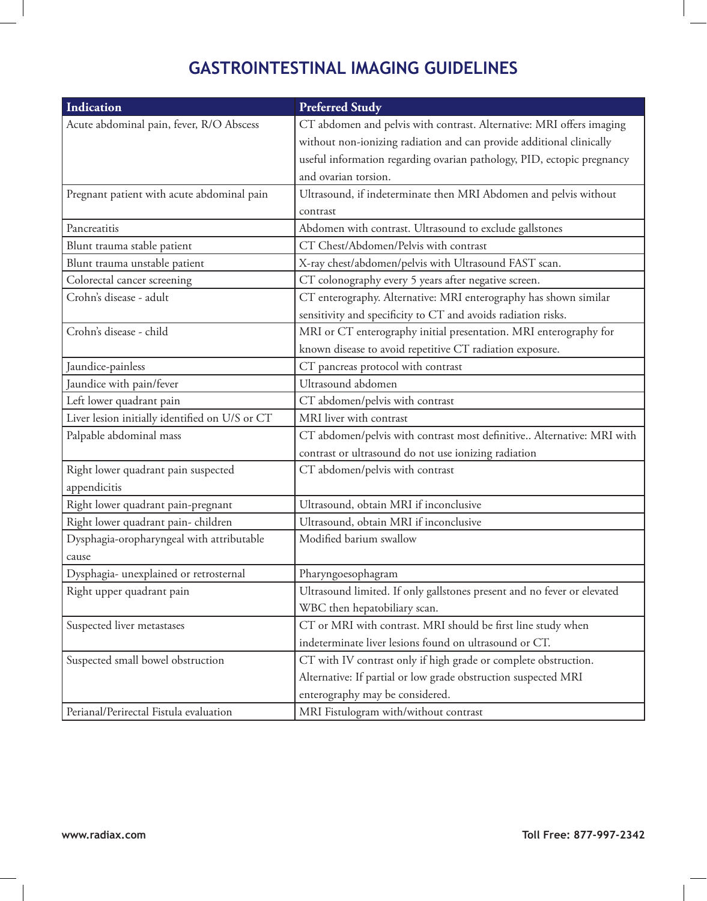# **GASTROINTESTINAL ImAGing Guidelines**

| Indication                                     | <b>Preferred Study</b>                                                  |
|------------------------------------------------|-------------------------------------------------------------------------|
| Acute abdominal pain, fever, R/O Abscess       | CT abdomen and pelvis with contrast. Alternative: MRI offers imaging    |
|                                                | without non-ionizing radiation and can provide additional clinically    |
|                                                | useful information regarding ovarian pathology, PID, ectopic pregnancy  |
|                                                | and ovarian torsion.                                                    |
| Pregnant patient with acute abdominal pain     | Ultrasound, if indeterminate then MRI Abdomen and pelvis without        |
|                                                | contrast                                                                |
| Pancreatitis                                   | Abdomen with contrast. Ultrasound to exclude gallstones                 |
| Blunt trauma stable patient                    | CT Chest/Abdomen/Pelvis with contrast                                   |
| Blunt trauma unstable patient                  | X-ray chest/abdomen/pelvis with Ultrasound FAST scan.                   |
| Colorectal cancer screening                    | CT colonography every 5 years after negative screen.                    |
| Crohn's disease - adult                        | CT enterography. Alternative: MRI enterography has shown similar        |
|                                                | sensitivity and specificity to CT and avoids radiation risks.           |
| Crohn's disease - child                        | MRI or CT enterography initial presentation. MRI enterography for       |
|                                                | known disease to avoid repetitive CT radiation exposure.                |
| Jaundice-painless                              | CT pancreas protocol with contrast                                      |
| Jaundice with pain/fever                       | Ultrasound abdomen                                                      |
| Left lower quadrant pain                       | CT abdomen/pelvis with contrast                                         |
| Liver lesion initially identified on U/S or CT | MRI liver with contrast                                                 |
| Palpable abdominal mass                        | CT abdomen/pelvis with contrast most definitive Alternative: MRI with   |
|                                                | contrast or ultrasound do not use ionizing radiation                    |
| Right lower quadrant pain suspected            | CT abdomen/pelvis with contrast                                         |
| appendicitis                                   |                                                                         |
| Right lower quadrant pain-pregnant             | Ultrasound, obtain MRI if inconclusive                                  |
| Right lower quadrant pain-children             | Ultrasound, obtain MRI if inconclusive                                  |
| Dysphagia-oropharyngeal with attributable      | Modified barium swallow                                                 |
| cause                                          |                                                                         |
| Dysphagia- unexplained or retrosternal         | Pharyngoesophagram                                                      |
| Right upper quadrant pain                      | Ultrasound limited. If only gallstones present and no fever or elevated |
|                                                | WBC then hepatobiliary scan.                                            |
| Suspected liver metastases                     | CT or MRI with contrast. MRI should be first line study when            |
|                                                | indeterminate liver lesions found on ultrasound or CT.                  |
| Suspected small bowel obstruction              | CT with IV contrast only if high grade or complete obstruction.         |
|                                                | Alternative: If partial or low grade obstruction suspected MRI          |
|                                                | enterography may be considered.                                         |
| Perianal/Perirectal Fistula evaluation         | MRI Fistulogram with/without contrast                                   |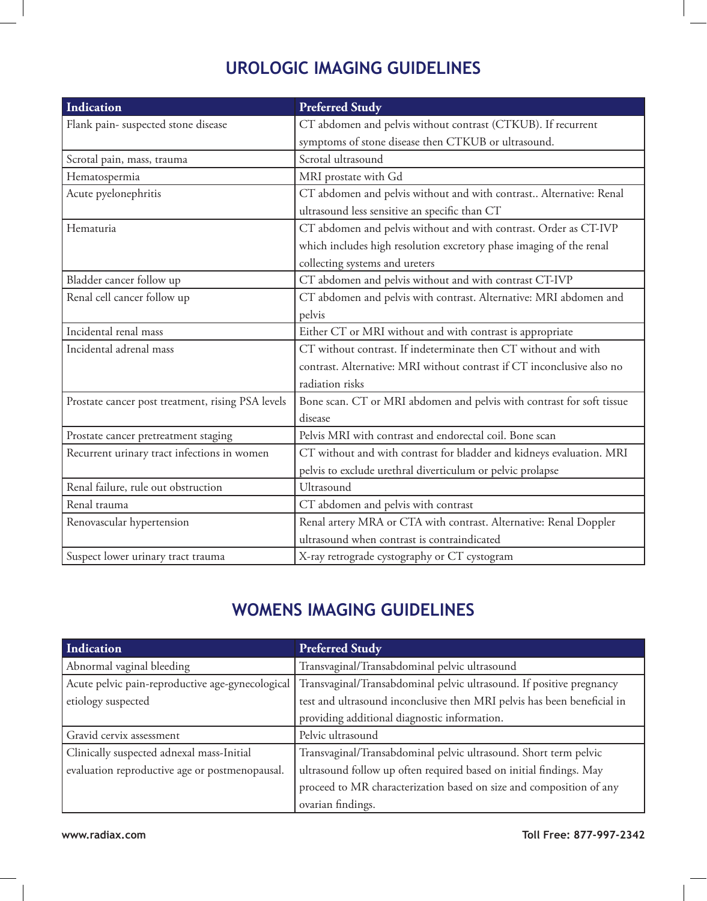# **UROLOGIC ImAGing Guidelines**

| <b>Indication</b>                                 | <b>Preferred Study</b>                                                 |
|---------------------------------------------------|------------------------------------------------------------------------|
| Flank pain-suspected stone disease                | CT abdomen and pelvis without contrast (CTKUB). If recurrent           |
|                                                   | symptoms of stone disease then CTKUB or ultrasound.                    |
| Scrotal pain, mass, trauma                        | Scrotal ultrasound                                                     |
| Hematospermia                                     | MRI prostate with Gd                                                   |
| Acute pyelonephritis                              | CT abdomen and pelvis without and with contrast Alternative: Renal     |
|                                                   | ultrasound less sensitive an specific than CT                          |
| Hematuria                                         | CT abdomen and pelvis without and with contrast. Order as CT-IVP       |
|                                                   | which includes high resolution excretory phase imaging of the renal    |
|                                                   | collecting systems and ureters                                         |
| Bladder cancer follow up                          | CT abdomen and pelvis without and with contrast CT-IVP                 |
| Renal cell cancer follow up                       | CT abdomen and pelvis with contrast. Alternative: MRI abdomen and      |
|                                                   | pelvis                                                                 |
| Incidental renal mass                             | Either CT or MRI without and with contrast is appropriate              |
| Incidental adrenal mass                           | CT without contrast. If indeterminate then CT without and with         |
|                                                   | contrast. Alternative: MRI without contrast if CT inconclusive also no |
|                                                   | radiation risks                                                        |
| Prostate cancer post treatment, rising PSA levels | Bone scan. CT or MRI abdomen and pelvis with contrast for soft tissue  |
|                                                   | disease                                                                |
| Prostate cancer pretreatment staging              | Pelvis MRI with contrast and endorectal coil. Bone scan                |
| Recurrent urinary tract infections in women       | CT without and with contrast for bladder and kidneys evaluation. MRI   |
|                                                   | pelvis to exclude urethral diverticulum or pelvic prolapse             |
| Renal failure, rule out obstruction               | Ultrasound                                                             |
| Renal trauma                                      | CT abdomen and pelvis with contrast                                    |
| Renovascular hypertension                         | Renal artery MRA or CTA with contrast. Alternative: Renal Doppler      |
|                                                   | ultrasound when contrast is contraindicated                            |
| Suspect lower urinary tract trauma                | X-ray retrograde cystography or CT cystogram                           |

# **WOMENS ImAGing Guidelines**

| Indication                                       | <b>Preferred Study</b>                                                  |
|--------------------------------------------------|-------------------------------------------------------------------------|
| Abnormal vaginal bleeding                        | Transvaginal/Transabdominal pelvic ultrasound                           |
| Acute pelvic pain-reproductive age-gynecological | Transvaginal/Transabdominal pelvic ultrasound. If positive pregnancy    |
| etiology suspected                               | test and ultrasound inconclusive then MRI pelvis has been beneficial in |
|                                                  | providing additional diagnostic information.                            |
| Gravid cervix assessment                         | Pelvic ultrasound                                                       |
| Clinically suspected adnexal mass-Initial        | Transvaginal/Transabdominal pelvic ultrasound. Short term pelvic        |
| evaluation reproductive age or postmenopausal.   | ultrasound follow up often required based on initial findings. May      |
|                                                  | proceed to MR characterization based on size and composition of any     |
|                                                  | ovarian findings.                                                       |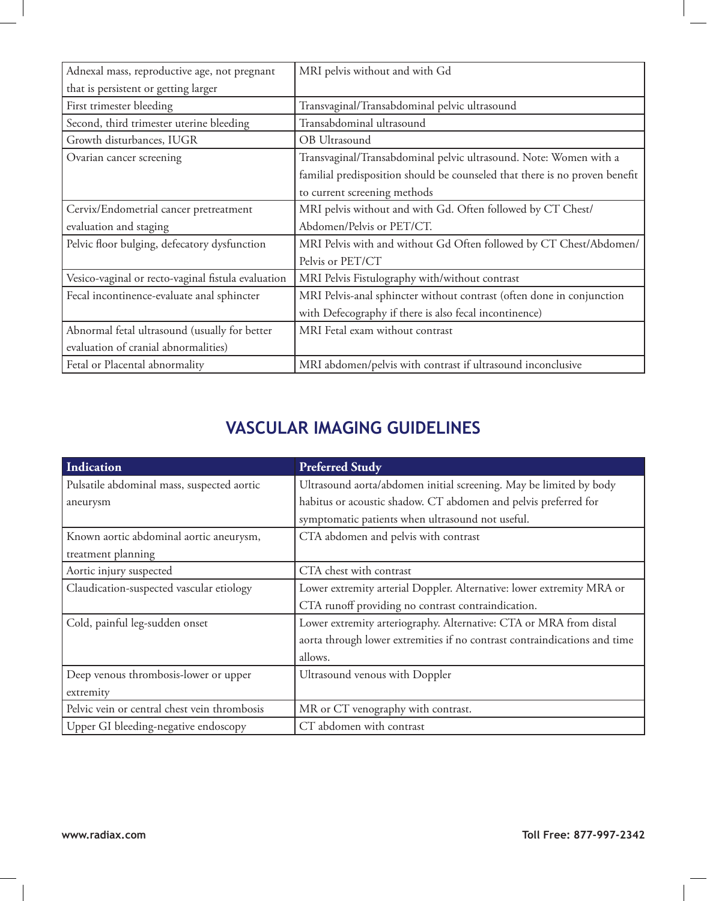| Adnexal mass, reproductive age, not pregnant       | MRI pelvis without and with Gd                                              |
|----------------------------------------------------|-----------------------------------------------------------------------------|
| that is persistent or getting larger               |                                                                             |
| First trimester bleeding                           | Transvaginal/Transabdominal pelvic ultrasound                               |
| Second, third trimester uterine bleeding           | Transabdominal ultrasound                                                   |
| Growth disturbances, IUGR                          | OB Ultrasound                                                               |
| Ovarian cancer screening                           | Transvaginal/Transabdominal pelvic ultrasound. Note: Women with a           |
|                                                    | familial predisposition should be counseled that there is no proven benefit |
|                                                    | to current screening methods                                                |
| Cervix/Endometrial cancer pretreatment             | MRI pelvis without and with Gd. Often followed by CT Chest/                 |
| evaluation and staging                             | Abdomen/Pelvis or PET/CT.                                                   |
| Pelvic floor bulging, defecatory dysfunction       | MRI Pelvis with and without Gd Often followed by CT Chest/Abdomen/          |
|                                                    | Pelvis or PET/CT                                                            |
| Vesico-vaginal or recto-vaginal fistula evaluation | MRI Pelvis Fistulography with/without contrast                              |
| Fecal incontinence-evaluate anal sphincter         | MRI Pelvis-anal sphincter without contrast (often done in conjunction       |
|                                                    | with Defecography if there is also fecal incontinence)                      |
| Abnormal fetal ultrasound (usually for better      | MRI Fetal exam without contrast                                             |
| evaluation of cranial abnormalities)               |                                                                             |
| Fetal or Placental abnormality                     | MRI abdomen/pelvis with contrast if ultrasound inconclusive                 |

# **VASCULAR ImAGing Guidelines**

| Indication                                   | <b>Preferred Study</b>                                                    |
|----------------------------------------------|---------------------------------------------------------------------------|
| Pulsatile abdominal mass, suspected aortic   | Ultrasound aorta/abdomen initial screening. May be limited by body        |
| aneurysm                                     | habitus or acoustic shadow. CT abdomen and pelvis preferred for           |
|                                              | symptomatic patients when ultrasound not useful.                          |
| Known aortic abdominal aortic aneurysm,      | CTA abdomen and pelvis with contrast                                      |
| treatment planning                           |                                                                           |
| Aortic injury suspected                      | CTA chest with contrast                                                   |
| Claudication-suspected vascular etiology     | Lower extremity arterial Doppler. Alternative: lower extremity MRA or     |
|                                              | CTA runoff providing no contrast contraindication.                        |
| Cold, painful leg-sudden onset               | Lower extremity arteriography. Alternative: CTA or MRA from distal        |
|                                              | aorta through lower extremities if no contrast contraindications and time |
|                                              | allows.                                                                   |
| Deep venous thrombosis-lower or upper        | Ultrasound venous with Doppler                                            |
| extremity                                    |                                                                           |
| Pelvic vein or central chest vein thrombosis | MR or CT venography with contrast.                                        |
| Upper GI bleeding-negative endoscopy         | CT abdomen with contrast                                                  |